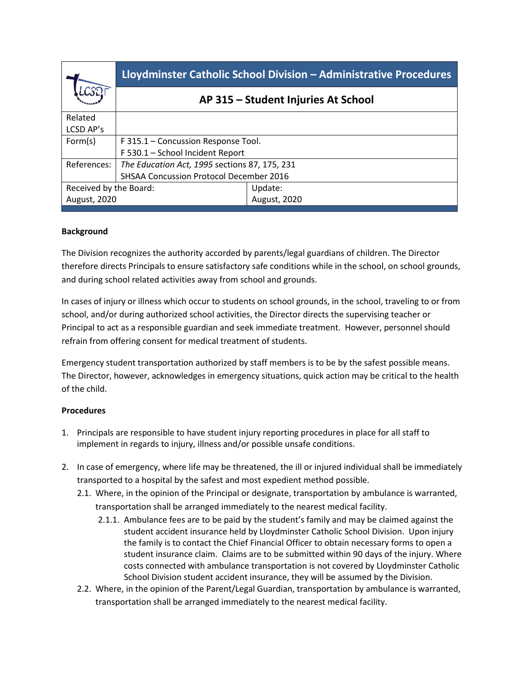|                                                              | Lloydminster Catholic School Division - Administrative Procedures |
|--------------------------------------------------------------|-------------------------------------------------------------------|
|                                                              | AP 315 - Student Injuries At School                               |
|                                                              |                                                                   |
|                                                              |                                                                   |
| F 315.1 - Concussion Response Tool.                          |                                                                   |
| F 530.1 - School Incident Report                             |                                                                   |
| References:<br>The Education Act, 1995 sections 87, 175, 231 |                                                                   |
| <b>SHSAA Concussion Protocol December 2016</b>               |                                                                   |
| Received by the Board:                                       | Update:                                                           |
| August, 2020                                                 | <b>August, 2020</b>                                               |
|                                                              |                                                                   |

## **Background**

The Division recognizes the authority accorded by parents/legal guardians of children. The Director therefore directs Principals to ensure satisfactory safe conditions while in the school, on school grounds, and during school related activities away from school and grounds.

In cases of injury or illness which occur to students on school grounds, in the school, traveling to or from school, and/or during authorized school activities, the Director directs the supervising teacher or Principal to act as a responsible guardian and seek immediate treatment. However, personnel should refrain from offering consent for medical treatment of students.

Emergency student transportation authorized by staff members is to be by the safest possible means. The Director, however, acknowledges in emergency situations, quick action may be critical to the health of the child.

## **Procedures**

- 1. Principals are responsible to have student injury reporting procedures in place for all staff to implement in regards to injury, illness and/or possible unsafe conditions.
- 2. In case of emergency, where life may be threatened, the ill or injured individual shall be immediately transported to a hospital by the safest and most expedient method possible.
	- 2.1. Where, in the opinion of the Principal or designate, transportation by ambulance is warranted, transportation shall be arranged immediately to the nearest medical facility.
		- 2.1.1. Ambulance fees are to be paid by the student's family and may be claimed against the student accident insurance held by Lloydminster Catholic School Division. Upon injury the family is to contact the Chief Financial Officer to obtain necessary forms to open a student insurance claim. Claims are to be submitted within 90 days of the injury. Where costs connected with ambulance transportation is not covered by Lloydminster Catholic School Division student accident insurance, they will be assumed by the Division.
	- 2.2. Where, in the opinion of the Parent/Legal Guardian, transportation by ambulance is warranted, transportation shall be arranged immediately to the nearest medical facility.